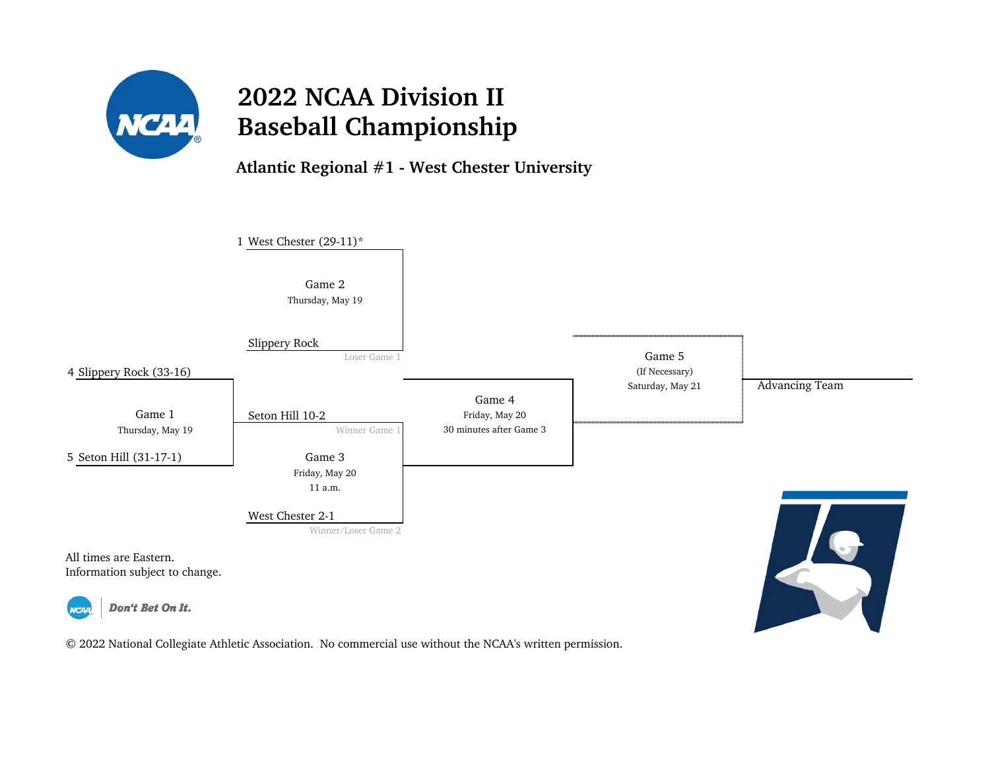

**Atlantic Regional #1 - West Chester University**

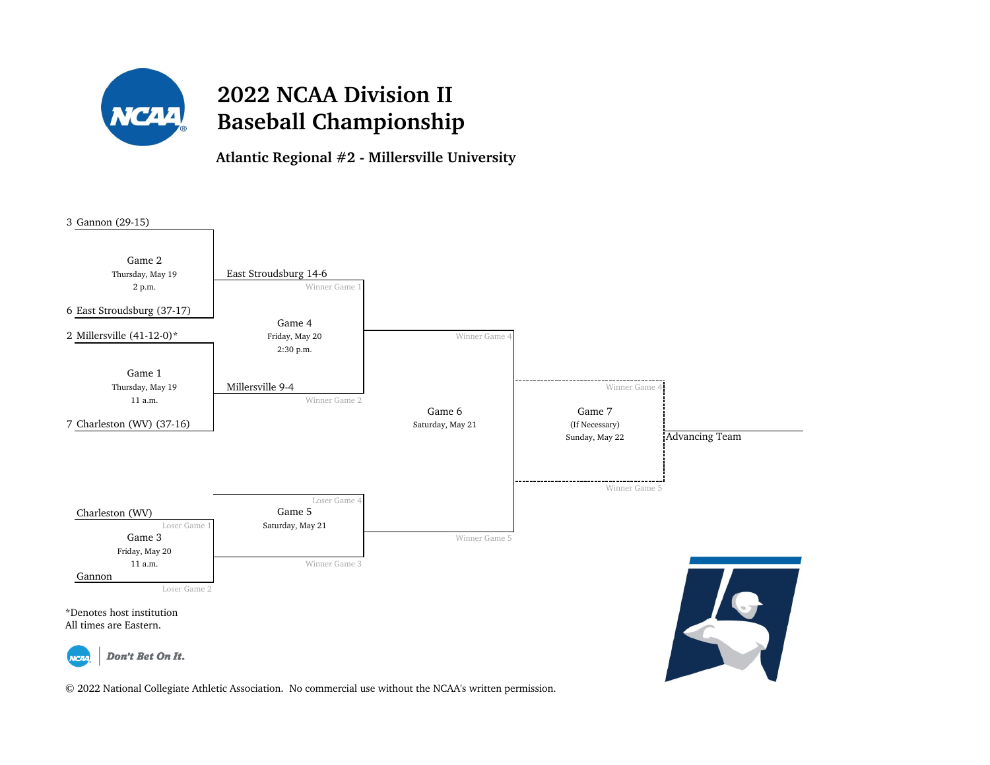

**Atlantic Regional #2 - Millersville University**

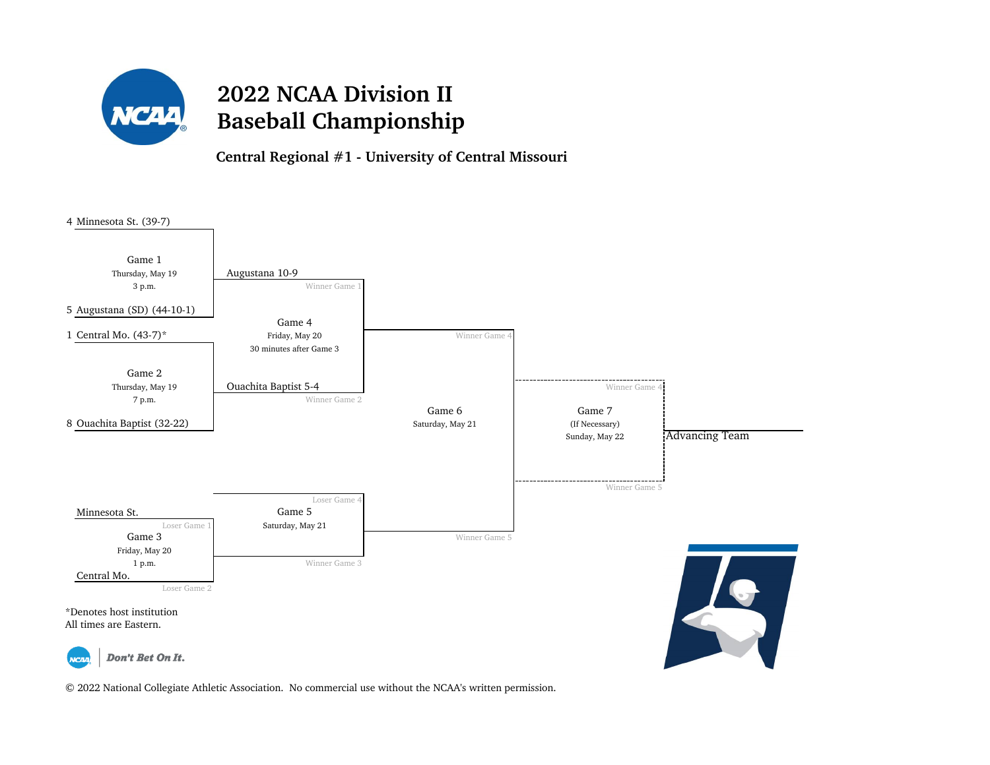

**Central Regional #1 - University of Central Missouri**

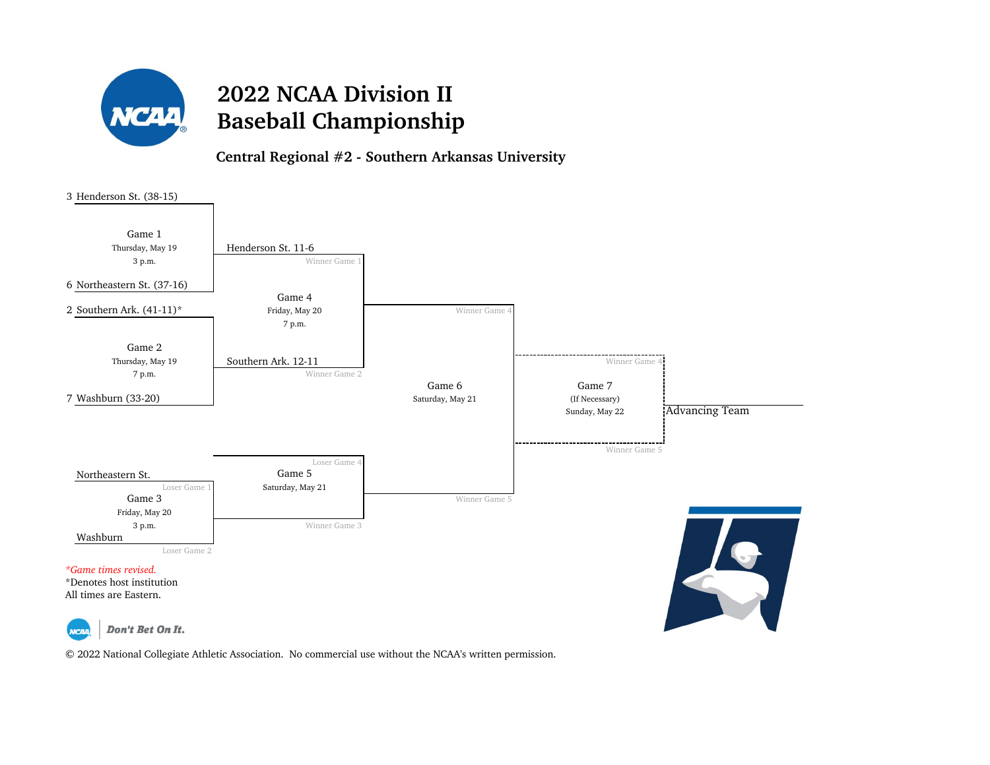

**Central Regional #2 - Southern Arkansas University**

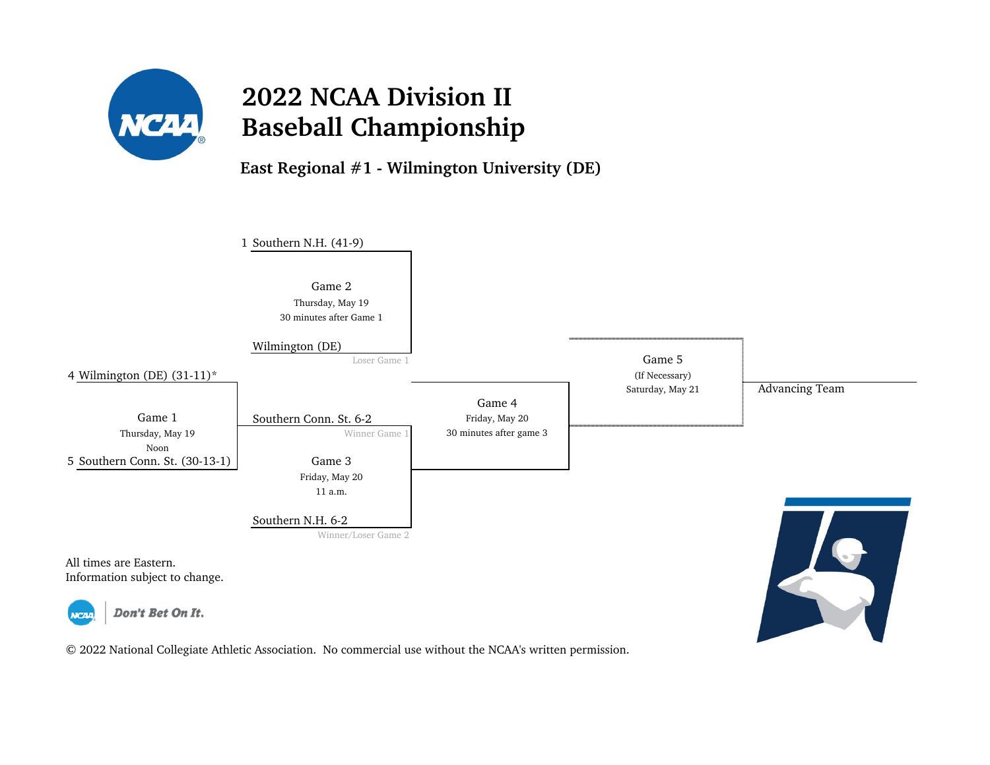

**East Regional #1 - Wilmington University (DE)**

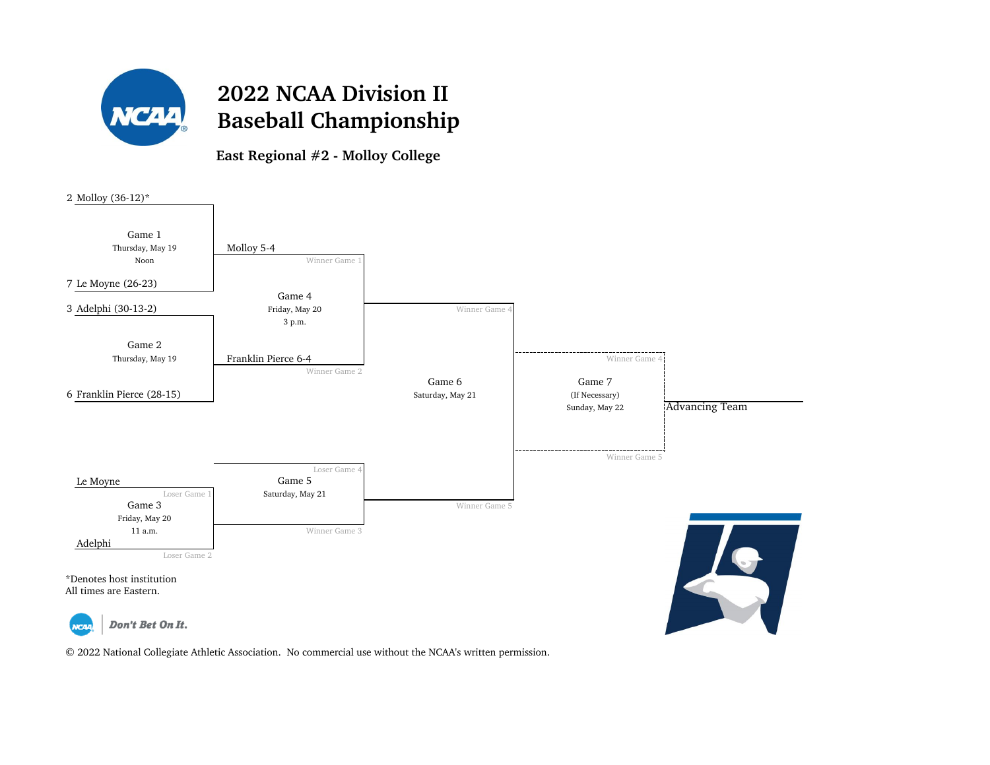

**East Regional #2 - Molloy College**

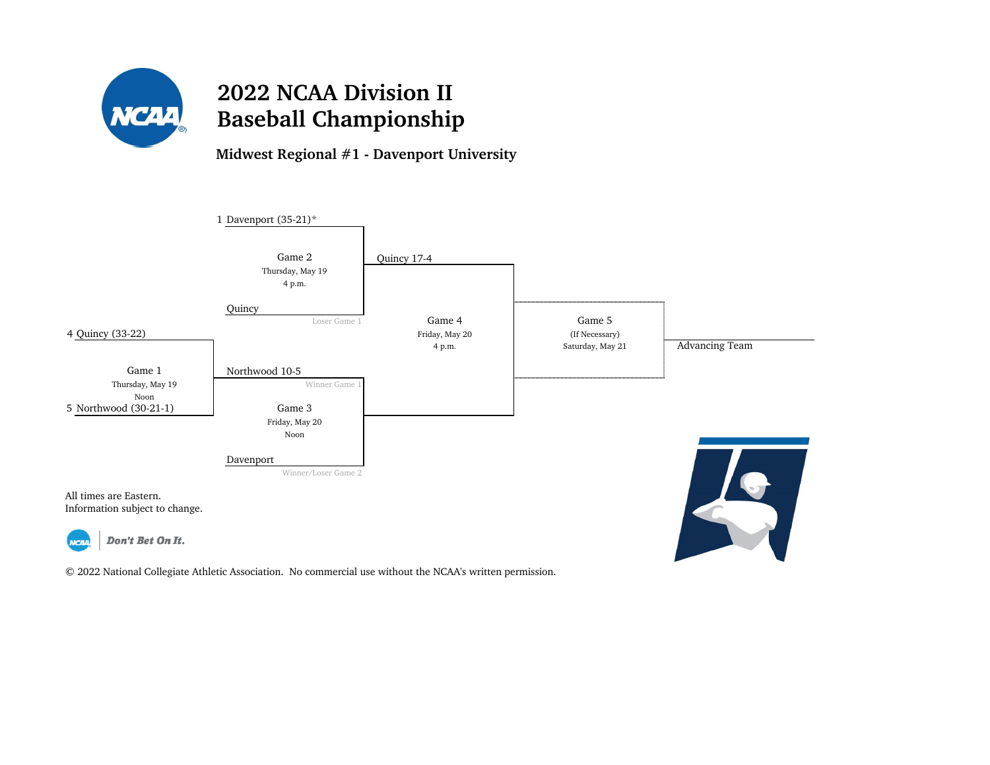

**Midwest Regional #1 - Davenport University**

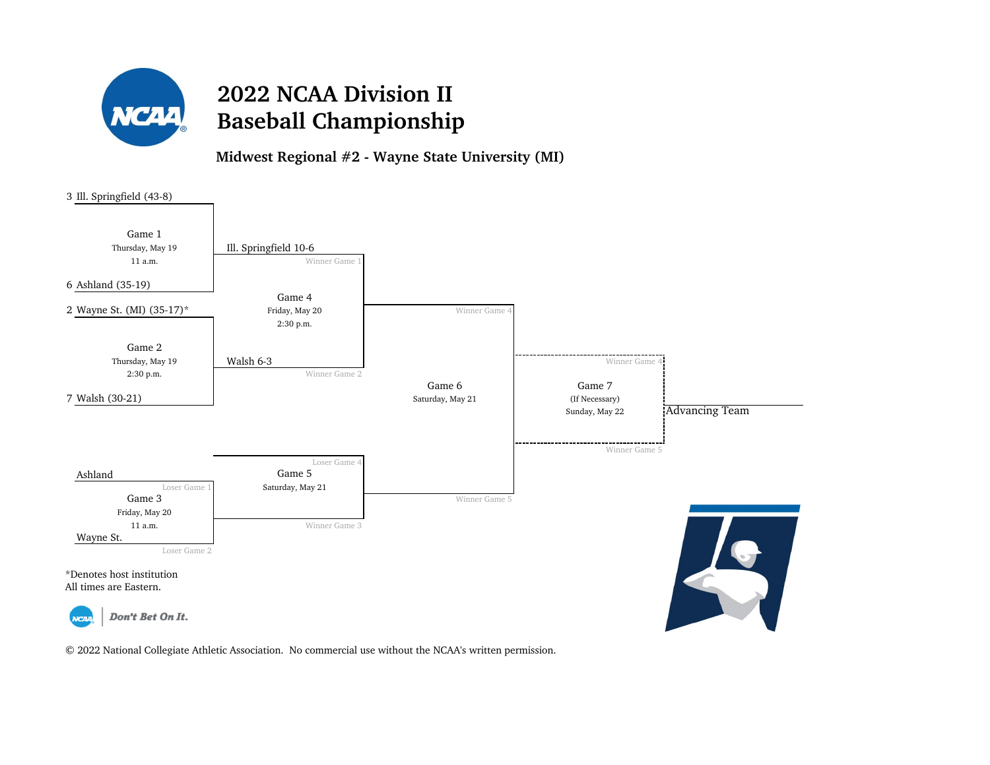

**Midwest Regional #2 - Wayne State University (MI)**

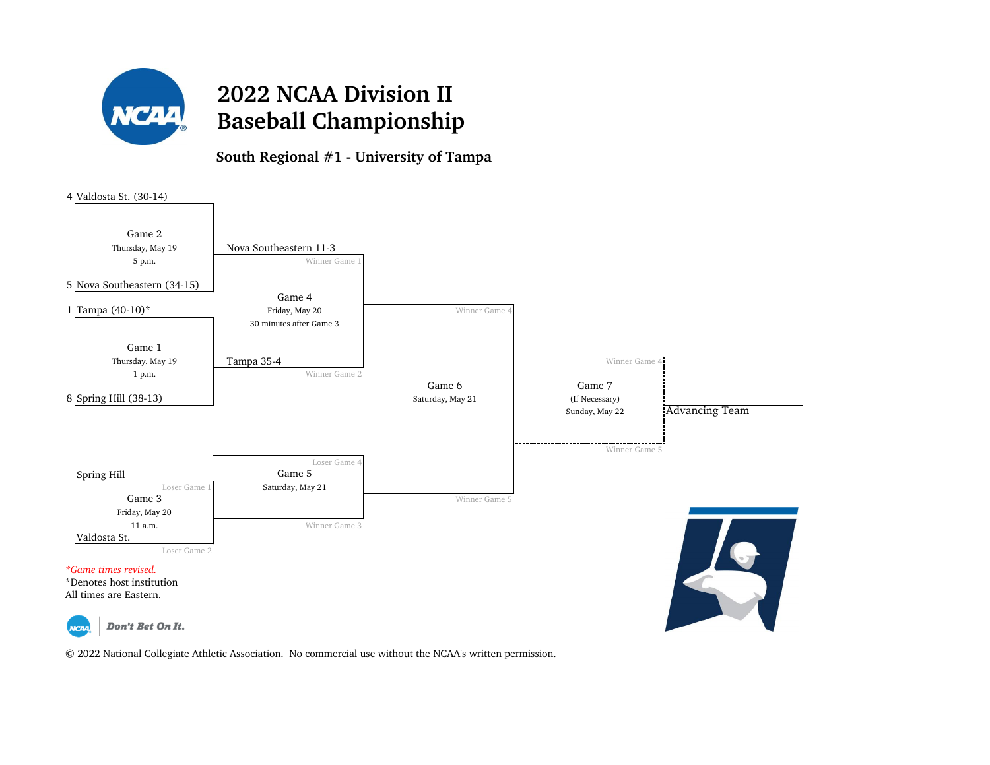

**South Regional #1 - University of Tampa**

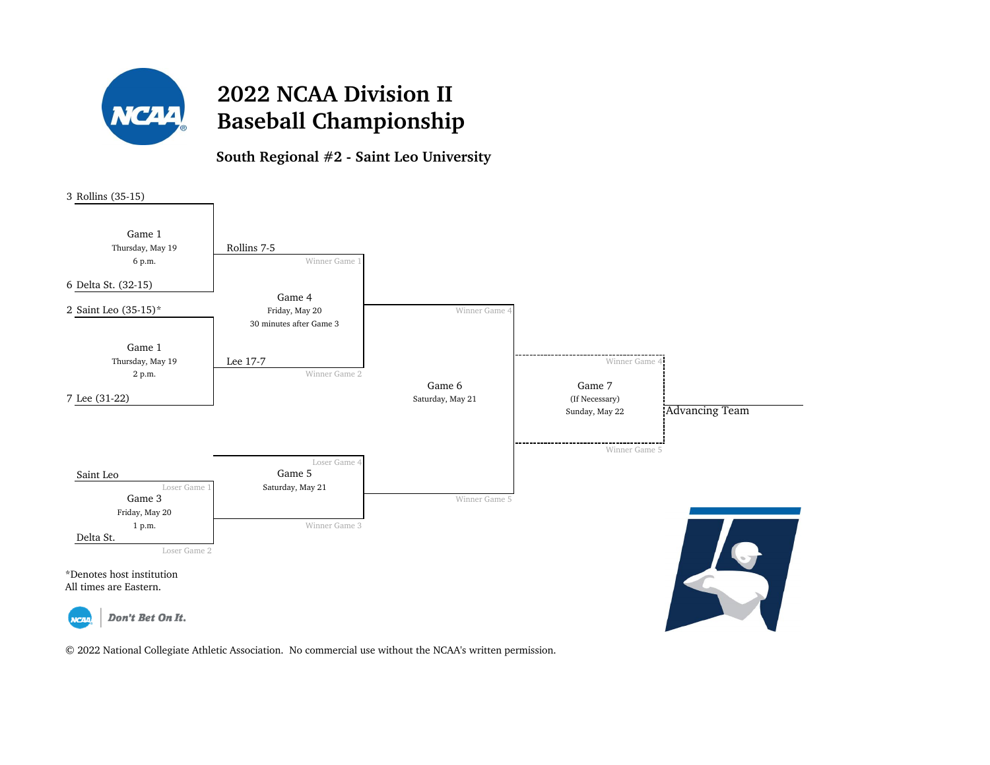

**South Regional #2 - Saint Leo University**

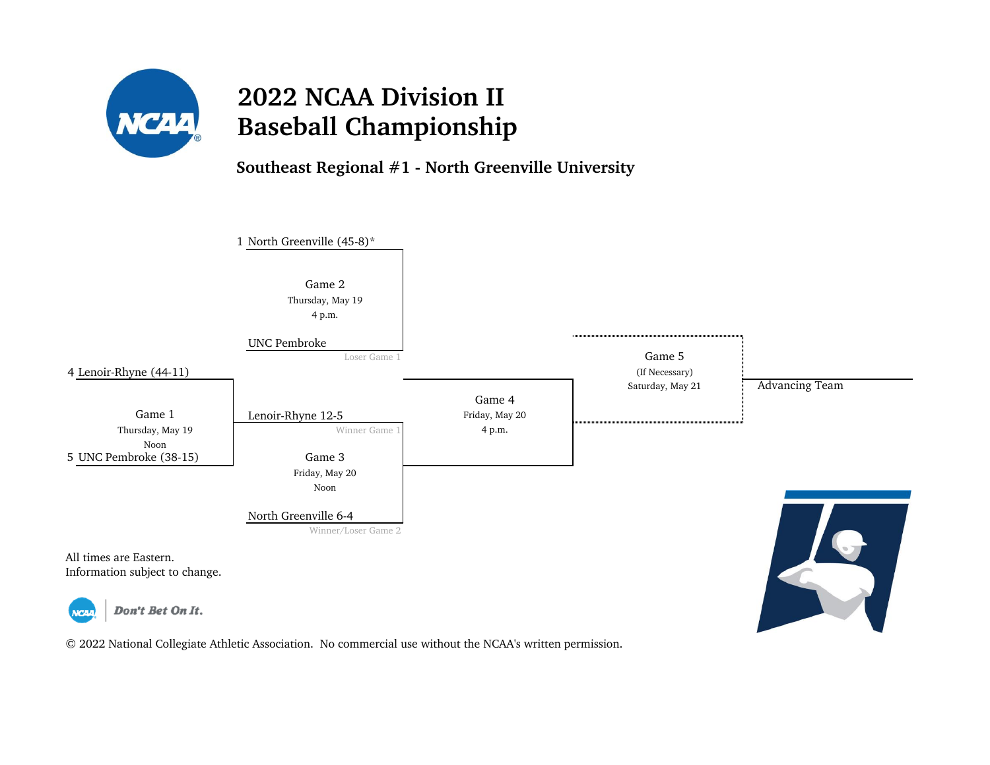

**Southeast Regional #1 - North Greenville University**

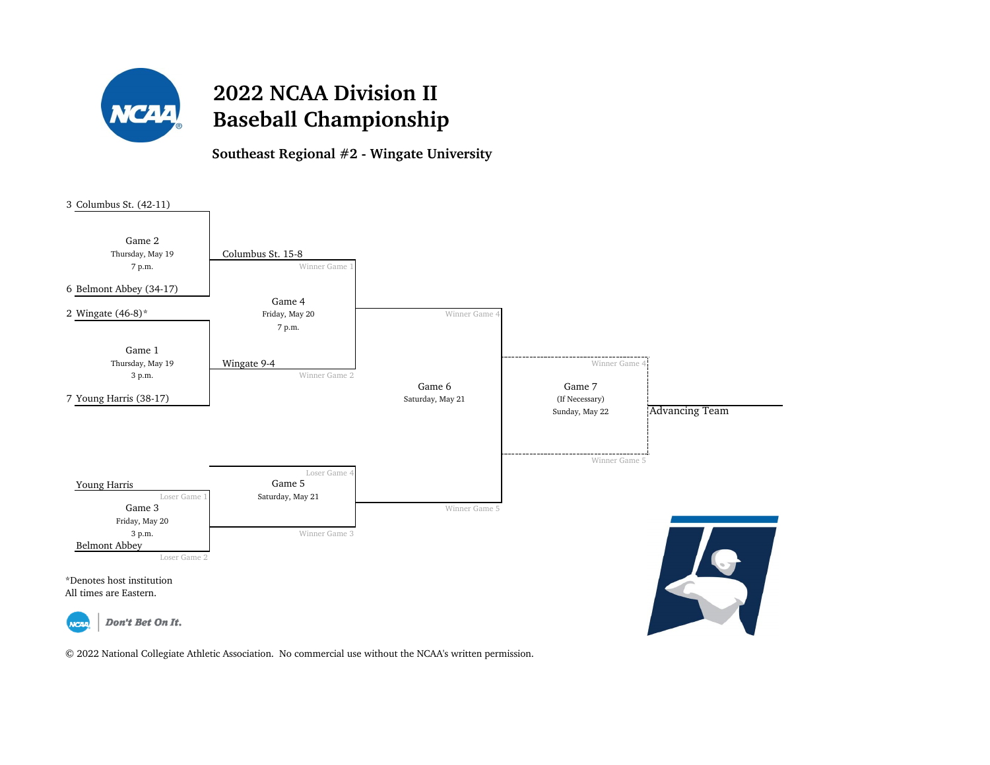

**Southeast Regional #2 - Wingate University**

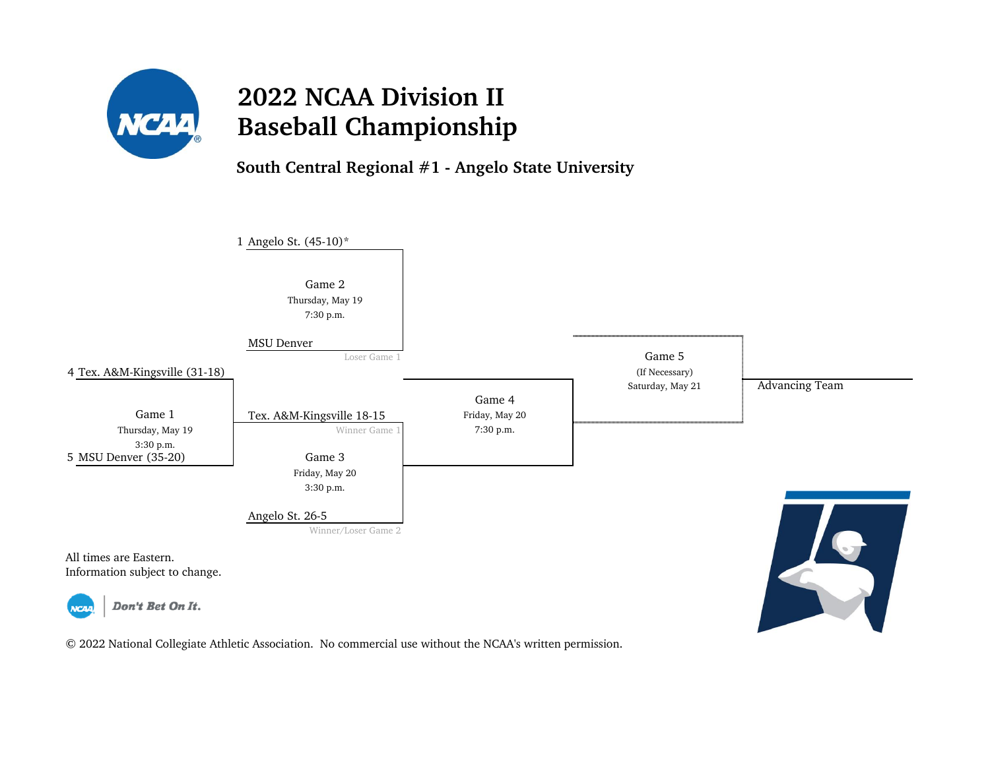

**South Central Regional #1 - Angelo State University**

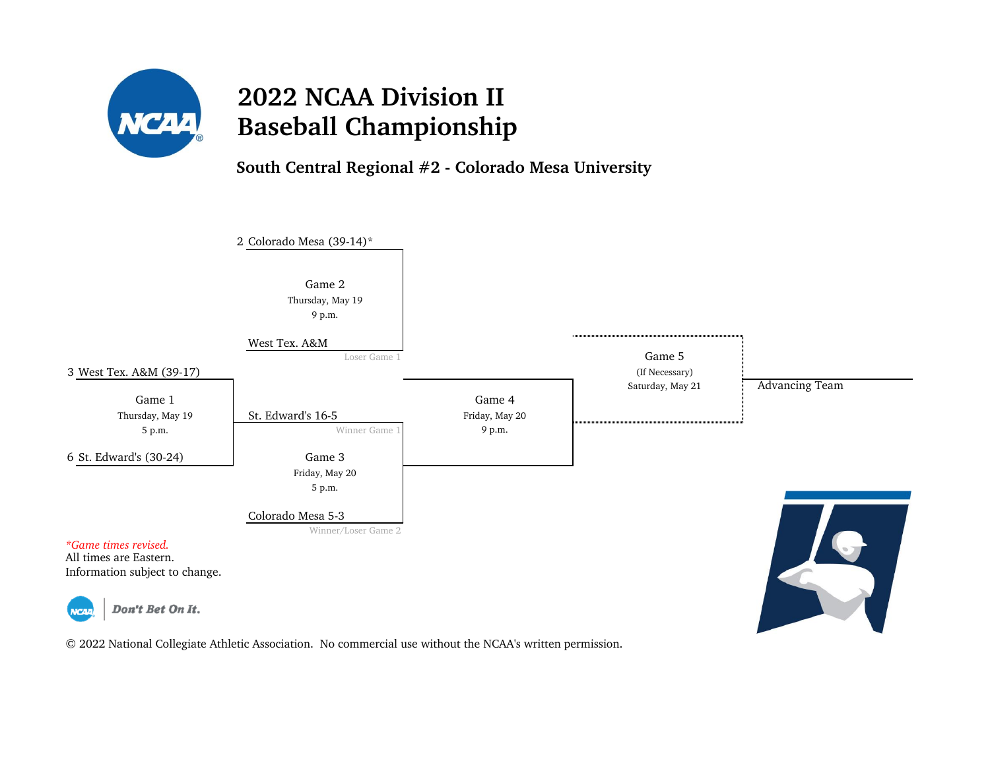

**South Central Regional #2 - Colorado Mesa University**

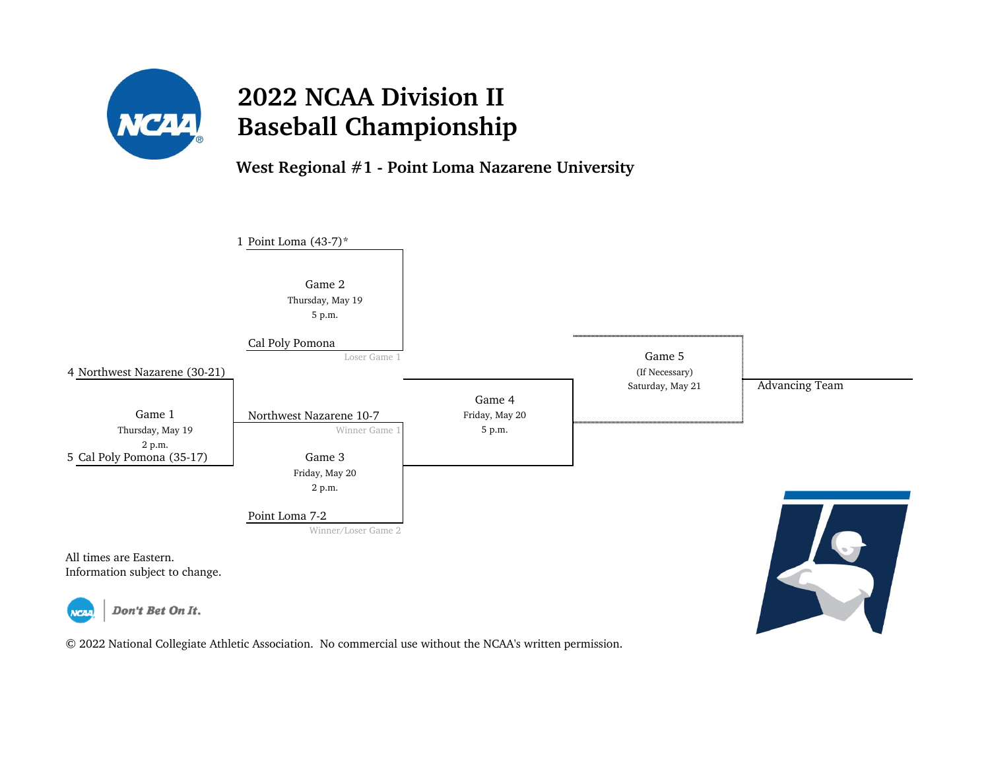

#### **West Regional #1 - Point Loma Nazarene University**